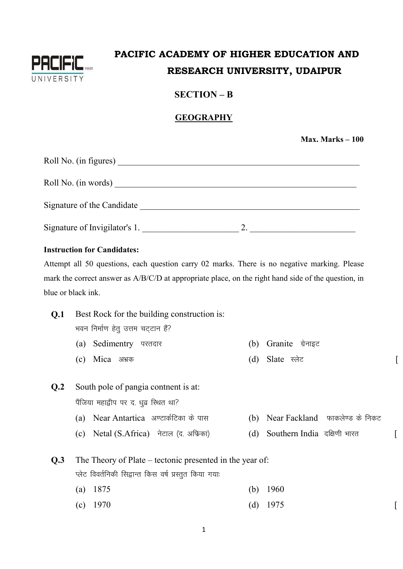

## PACIFIC ACADEMY OF HIGHER EDUCATION AND RESEARCH UNIVERSITY, UDAIPUR

#### $SECTION - B$

#### **GEOGRAPHY**

Max. Marks  $-100$ 

 $\left[ \right]$ 

 $\sqrt{ }$ 

 $\left[ \right]$ 

| Roll No. (in figures)         |  |
|-------------------------------|--|
| Roll No. (in words)           |  |
| Signature of the Candidate    |  |
| Signature of Invigilator's 1. |  |

#### **Instruction for Candidates:**

Attempt all 50 questions, each question carry 02 marks. There is no negative marking. Please mark the correct answer as A/B/C/D at appropriate place, on the right hand side of the question, in blue or black ink.

| Q.1            | Best Rock for the building construction is:              |     |                                    |
|----------------|----------------------------------------------------------|-----|------------------------------------|
|                | भवन निर्माण हेतु उत्तम चट्टान हैं?                       |     |                                    |
|                | Sedimentry परतदार<br>(a)                                 | (b) | Granite ग्रेनाइट                   |
|                | Mica अभक<br>(c)                                          | (d) | Slate स्लेट                        |
|                |                                                          |     |                                    |
| Q <sub>2</sub> | South pole of pangia contnent is at:                     |     |                                    |
|                | पैंजिया महाद्वीप पर द. धुव्र स्थित था?                   |     |                                    |
|                | (a) Near Antartica) अण्टार्कटिका के पास                  |     | (b) Near Fackland फाकलेण्ड के निकट |
|                | (c) Netal (S.Africa) नेटाल (द. अफिका)                    | (d) | Southern India दक्षिणी भारत        |
|                |                                                          |     |                                    |
| Q <sub>3</sub> | The Theory of Plate – tectonic presented in the year of: |     |                                    |
|                | प्लेट विवर्तनिकी सिद्वान्त किस वर्ष प्रस्तुत किया गयाः   |     |                                    |
|                | 1875<br>(a)                                              | (b) | 1960                               |
|                | $(c)$ 1970                                               | (d) | 1975                               |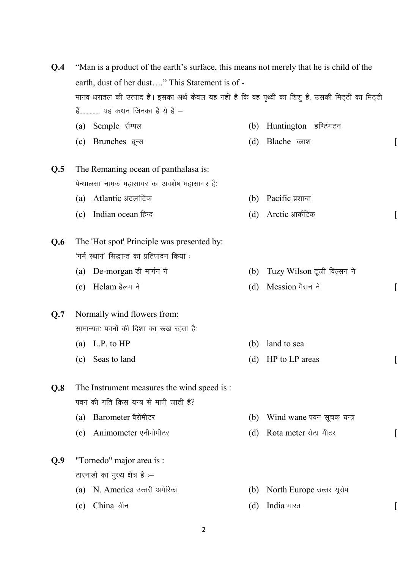| Q.4 | "Man is a product of the earth's surface, this means not merely that he is child of the                                                                                               |     |                            |  |  |
|-----|---------------------------------------------------------------------------------------------------------------------------------------------------------------------------------------|-----|----------------------------|--|--|
|     | earth, dust of her dust" This Statement is of -<br>मानव धरातल की उत्पाद हैं। इसका अर्थ केवल यह नहीं है कि वह पृथ्वी का शिशु हैं, उसकी मिट्टी का मिट्टी<br>हैं यह कथन जिनका है ये है - |     |                            |  |  |
|     |                                                                                                                                                                                       |     |                            |  |  |
|     |                                                                                                                                                                                       |     |                            |  |  |
|     | Semple सैम्पल<br>(a)                                                                                                                                                                  | (b) | Huntington हण्टिंगटन       |  |  |
|     | Brunches ब्रून्स<br>(c)                                                                                                                                                               | (d) | Blache ब्लाश               |  |  |
| Q.5 | The Remaning ocean of panthalasa is:                                                                                                                                                  |     |                            |  |  |
|     | पेन्थालसा नामक महासागर का अवशेष महासागर है:                                                                                                                                           |     |                            |  |  |
|     | Atlantic अटलांटिक<br>(a)                                                                                                                                                              | (b) | Pacific प्रशान्त           |  |  |
|     | Indian ocean हिन्द<br>(c)                                                                                                                                                             | (d) | Arctic आर्कटिक             |  |  |
| Q.6 | The 'Hot spot' Principle was presented by:                                                                                                                                            |     |                            |  |  |
|     | 'गर्म स्थान' सिद्धान्त का प्रतिपादन किया :                                                                                                                                            |     |                            |  |  |
|     | (a) De-morgan डी मार्गन ने                                                                                                                                                            | (b) | Tuzy Wilson टूजी विल्सन ने |  |  |
|     | Helam हैलम ने<br>(c)                                                                                                                                                                  | (d) | Mession मैसन ने            |  |  |
| Q.7 | Normally wind flowers from:                                                                                                                                                           |     |                            |  |  |
|     | सामान्यतः पवनों की दिशा का रूख रहता है:                                                                                                                                               |     |                            |  |  |
|     | (a) L.P. to $HP$                                                                                                                                                                      | (b) | land to sea                |  |  |
|     | (c) Seas to land                                                                                                                                                                      | (d) | HP to LP areas             |  |  |
| Q.8 | The Instrument measures the wind speed is :                                                                                                                                           |     |                            |  |  |
|     | पवन की गति किस यन्त्र से मापी जाती है?                                                                                                                                                |     |                            |  |  |
|     | Barometer बैरोमीटर<br>(a)                                                                                                                                                             | (b) | Wind wane पवन सूचक यन्त्र  |  |  |
|     | Animometer एनीमोमीटर<br>(c)                                                                                                                                                           | (d) | Rota meter रोटा मीटर       |  |  |
| Q.9 | "Tornedo" major area is :                                                                                                                                                             |     |                            |  |  |
|     | टारनाडो का मुख्य क्षेत्र है :-                                                                                                                                                        |     |                            |  |  |
|     | N. America उत्तरी अमेरिका<br>(a)                                                                                                                                                      | (b) | North Europe उत्तर यूरोप   |  |  |
|     | China चीन<br>(c)                                                                                                                                                                      | (d) | India भारत                 |  |  |
|     |                                                                                                                                                                                       |     |                            |  |  |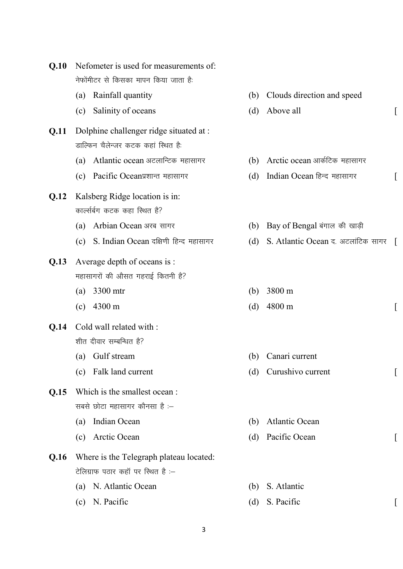| Q.10 |     | Nefometer is used for measurements of:  |     |                                    |  |
|------|-----|-----------------------------------------|-----|------------------------------------|--|
|      |     | नेफोंमीटर से किसका मापन किया जाता है:   |     |                                    |  |
|      | (a) | Rainfall quantity                       | (b) | Clouds direction and speed         |  |
|      | (c) | Salinity of oceans                      | (d) | Above all                          |  |
| Q.11 |     | Dolphine challenger ridge situated at : |     |                                    |  |
|      |     | डाल्फिन चैलेन्जर कटक कहां स्थित है:     |     |                                    |  |
|      | (a) | Atlantic ocean अटलान्टिक महासागर        | (b) | Arctic ocean आर्कटिक महासागर       |  |
|      | (c) | Pacific Oceanप्रशान्त महासागर           | (d) | Indian Ocean हिन्द महासागर         |  |
| Q.12 |     | Kalsberg Ridge location is in:          |     |                                    |  |
|      |     | कार्ल्सबंग कटक कहा स्थित है?            |     |                                    |  |
|      | (a) | Arbian Ocean अरब सागर                   | (b) | Bay of Bengal बंगाल की खाड़ी       |  |
|      | (c) | S. Indian Ocean दक्षिणी हिन्द महासागर   | (d) | S. Atlantic Ocean द. अटलांटिक सागर |  |
| Q.13 |     | Average depth of oceans is :            |     |                                    |  |
|      |     | महासागरों की औसत गहराई कितनी है?        |     |                                    |  |
|      | (a) | 3300 mtr                                | (b) | 3800 m                             |  |
|      | (c) | 4300 m                                  | (d) | 4800 m                             |  |
| Q.14 |     | Cold wall related with :                |     |                                    |  |
|      |     | शीत दीवार सम्बन्धित है?                 |     |                                    |  |
|      | (a) | Gulf stream                             | (b) | Canari current                     |  |
|      | (c) | Falk land current                       | (d) | Curushivo current                  |  |
| Q.15 |     | Which is the smallest ocean :           |     |                                    |  |
|      |     | सबसे छोटा महासागर कौनसा है :-           |     |                                    |  |
|      | (a) | Indian Ocean                            | (b) | <b>Atlantic Ocean</b>              |  |
|      | (c) | Arctic Ocean                            | (d) | Pacific Ocean                      |  |
| Q.16 |     | Where is the Telegraph plateau located: |     |                                    |  |
|      |     | टेलिग्राफ पठार कहाँ पर स्थित है :-      |     |                                    |  |
|      | (a) | N. Atlantic Ocean                       | (b) | S. Atlantic                        |  |
|      | (c) | N. Pacific                              | (d) | S. Pacific                         |  |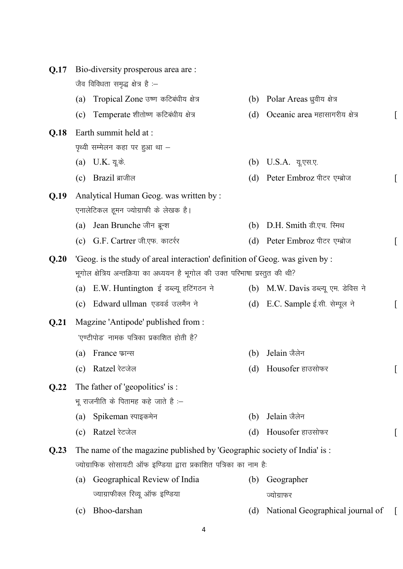| Q.17 |                                                                               | Bio-diversity prosperous area are:                                           |     |                                     |  |
|------|-------------------------------------------------------------------------------|------------------------------------------------------------------------------|-----|-------------------------------------|--|
|      |                                                                               | जैव विविधता समृद्ध क्षेत्र है :-                                             |     |                                     |  |
|      | (a)                                                                           | Tropical Zone उष्ण कटिबंधीय क्षेत्र                                          |     | (b) Polar Areas ध्रुवीय क्षेत्र     |  |
|      | (c)                                                                           | Temperate शीतोष्ण कटिबंधीय क्षेत्र                                           | (d) | Oceanic area महासागरीय क्षेत्र      |  |
| Q.18 |                                                                               | Earth summit held at :                                                       |     |                                     |  |
|      |                                                                               | पृथ्वी सम्मेलन कहा पर हुआ था –                                               |     |                                     |  |
|      |                                                                               | (a) U.K. यू.के.                                                              | (b) | U.S.A. यू.एस.ए.                     |  |
|      | (c)                                                                           | Brazil ब्राजील                                                               | (d) | Peter Embroz पीटर एम्ब्रोज          |  |
| Q.19 |                                                                               | Analytical Human Geog. was written by:                                       |     |                                     |  |
|      |                                                                               | एनालेटिकल हूमन ज्योग्राफी के लेखक है।                                        |     |                                     |  |
|      | (a)                                                                           | Jean Brunche जीन ब्रून्श                                                     | (b) | D.H. Smith डी.एच. रिमथ              |  |
|      | (c)                                                                           | G.F. Cartrer जी.एफ. कार्टरर                                                  |     | (d) Peter Embroz पीटर एम्ब्रोज      |  |
| Q.20 |                                                                               | 'Geog. is the study of areal interaction' definition of Geog. was given by : |     |                                     |  |
|      | भूगोल क्षेत्रिय अन्तक्रिया का अध्ययन है भूगोल की उक्त परिभाषा प्रस्तुत की थी? |                                                                              |     |                                     |  |
|      | (a)                                                                           | E.W. Huntington ई डब्ल्यू हटिंगठन ने                                         |     | (b) M.W. Davis डब्ल्यू एम. डेविस ने |  |
|      | (c)                                                                           | Edward ullman एडवर्ड उलमैन ने                                                |     | (d) E.C. Sample ई.सी. सेम्पूल ने    |  |
| Q.21 |                                                                               | Magzine 'Antipode' published from :                                          |     |                                     |  |
|      |                                                                               | 'एण्टीपोड' नामक पत्रिका प्रकाशित होती है?                                    |     |                                     |  |
|      | (a)                                                                           | France फ़ान्स                                                                | (b) | Jelain जैलेन                        |  |
|      |                                                                               | (c) Ratzel रेटजेल                                                            |     | (d) Housofer हाउसोफर                |  |
| Q.22 |                                                                               | The father of 'geopolitics' is :                                             |     |                                     |  |
|      |                                                                               | भू राजनीति के पितामह कहे जाते है :-                                          |     |                                     |  |
|      | (a)                                                                           | Spikeman स्पाइकमेन                                                           | (b) | Jelain जैलेन                        |  |
|      | (c)                                                                           | Ratzel रेटजेल                                                                | (d) | Housofer हाउसोफर                    |  |
| Q.23 |                                                                               | The name of the magazine published by 'Geographic society of India' is:      |     |                                     |  |
|      |                                                                               | ज्योग्राफिक सोसायटी ऑफ इण्डिया द्वारा प्रकाशित पत्रिका का नाम है:            |     |                                     |  |
|      | (a)                                                                           | Geographical Review of India                                                 | (b) | Geographer                          |  |
|      |                                                                               | ज्याग्राफीक्ल रिव्यू ऑफ इण्डिया                                              |     | ज्योग्राफर                          |  |
|      | (c)                                                                           | Bhoo-darshan                                                                 | (d) | National Geographical journal of    |  |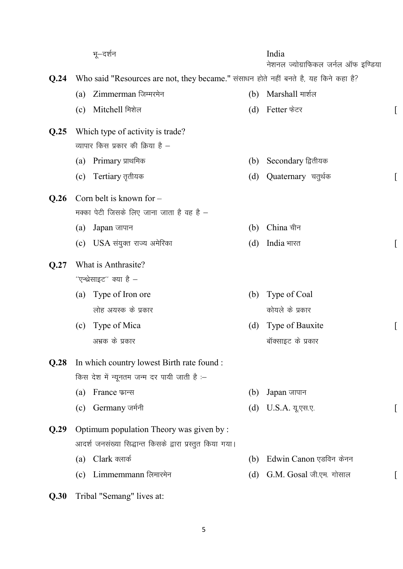|      | भू–दर्शन                                                                             |     | India<br>नेशनल ज्योग्राफिकल जर्नल ऑफ इण्डिया |  |
|------|--------------------------------------------------------------------------------------|-----|----------------------------------------------|--|
| Q.24 | Who said "Resources are not, they became." संसाधन होते नहीं बनते है, यह किने कहा है? |     |                                              |  |
|      | Zimmerman जिम्मरमेन<br>(a)                                                           | (b) | Marshall मार्शल                              |  |
|      | Mitchell मिशेल<br>(c)                                                                | (d) | Fetter फेटर                                  |  |
| Q.25 | Which type of activity is trade?                                                     |     |                                              |  |
|      | व्यापार किस प्रकार की क्रिया है –                                                    |     |                                              |  |
|      | Primary प्राथमिक<br>(a)                                                              | (b) | Secondary द्वितीयक                           |  |
|      | Tertiary तृतीयक<br>(c)                                                               | (d) | Quaternary चतुर्थक                           |  |
| Q.26 | Corn belt is known for $-$                                                           |     |                                              |  |
|      | मक्का पेटी जिसके लिए जाना जाता है वह है –                                            |     |                                              |  |
|      | Japan जापान<br>(a)                                                                   | (b) | China चीन                                    |  |
|      | $\mathrm{USA}$ संयुक्त राज्य अमेरिका<br>(c)                                          | (d) | India भारत                                   |  |
| Q.27 | What is Anthrasite?                                                                  |     |                                              |  |
|      | ''एन्थ्रेसाइट'' क्या है –                                                            |     |                                              |  |
|      | Type of Iron ore<br>(a)                                                              | (b) | Type of Coal                                 |  |
|      | लोह अयस्क के प्रकार                                                                  |     | कोयले के प्रकार                              |  |
|      | Type of Mica<br>(c)                                                                  | (d) | Type of Bauxite                              |  |
|      | अभ्रक के प्रकार                                                                      |     | बॉक्साइट के प्रकार                           |  |
| Q.28 | In which country lowest Birth rate found :                                           |     |                                              |  |
|      | किस देश में न्यूनतम जन्म दर पायी जाती है :-                                          |     |                                              |  |
|      | France फ़ान्स<br>(a)                                                                 | (b) | Japan जापान                                  |  |
|      | Germany जर्मनी<br>(c)                                                                | (d) | U.S.A. यू.एस.ए.                              |  |
| Q.29 | Optimum population Theory was given by:                                              |     |                                              |  |
|      | आदर्श जनसंख्या सिद्धान्त किसके द्वारा प्रस्तुत किया गया।                             |     |                                              |  |
|      | Clark क्लार्क<br>(a)                                                                 | (b) | Edwin Canon एडविन केनन                       |  |
|      | Limmemmann लिमारमेन<br>(c)                                                           | (d) | G.M. Gosal जी.एम. गोसाल                      |  |
| Q.30 | Tribal "Semang" lives at:                                                            |     |                                              |  |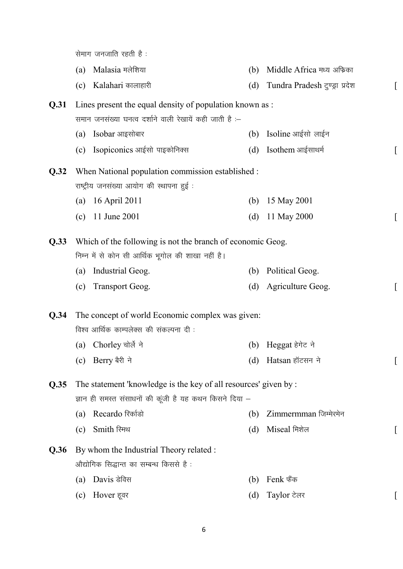सेमाग जनजाति रहती है:

|  | (a)    Malasia मलेशिया |  | (b) Middle Africa मध्य अफिका |
|--|------------------------|--|------------------------------|
|--|------------------------|--|------------------------------|

(c) Kalahari कालाहारी (d) Tundra Pradesh ट्रण्ड्रा प्रदेश

#### **Q.31** Lines present the equal density of population known as : समान जनसंख्या घनत्व दर्शाने वाली रेखायें कही जाती है :-

- (a) Isobar आइसोबार (b) Isoline आईसो लाईन
- $\alpha$  isopiconics आईसो पाइकोनिक्स  $\alpha$  and  $\alpha$  isothem आईसाथर्म

#### **Q.32** When National population commission established : राष्ट्रीय जनसंख्या आयोग की स्थापना हुई :

- (a) 16 April 2011 (b) 15 May 2001
- (c) 11 June 2001 (d) 11 May 2000 [

**Q.33** Which of the following is not the branch of economic Geog. निम्न में से कोन सी आर्थिक भूगोल की शाखा नहीं है।

- (a) Industrial Geog. (b) Political Geog.
- (c) Transport Geog. (d) Agriculture Geog.

**Q.34** The concept of world Economic complex was given: विश्व आर्थिक काम्पलेक्स की संकल्पना दी :

- (a) Chorley चोर्ले ने (b) Heggat हेगेट ने
- (c) Berry बैरी ने  $($ d) Hatsan हॉटसन ने  $[$

**Q.35** The statement 'knowledge is the key of all resources' given by : ज्ञान ही समस्त संसाधनों की कूंजी है यह कथन किसने दिया –

- (a) Recardo fjdkZMks (b) Zimmermman ftEesjesu
- $\text{(c)}$  Smith स्मिथ  $\text{(d)}$  Miseal मिशेल  $\text{[b]}$

### **Q.36** By whom the Industrial Theory related : औद्योगिक सिद्धान्त का सम्बन्ध किससे हैं:

- (a) Davis डेविस (b) Fenk फैंक
- (c) Hover हूवर  $\qquad \qquad$   $\qquad \qquad$   $\qquad \qquad$   $\qquad \qquad$   $\qquad \qquad$   $\qquad \qquad$   $\qquad \qquad$   $\qquad \qquad$   $\qquad \qquad$   $\qquad \qquad$   $\qquad \qquad$   $\qquad \qquad$   $\qquad \qquad$   $\qquad \qquad$   $\qquad \qquad$   $\qquad \qquad$   $\qquad \qquad$   $\qquad \qquad$   $\qquad \qquad$   $\qquad \qquad$   $\qquad \qquad$   $\qquad \qquad$   $\qquad \qquad$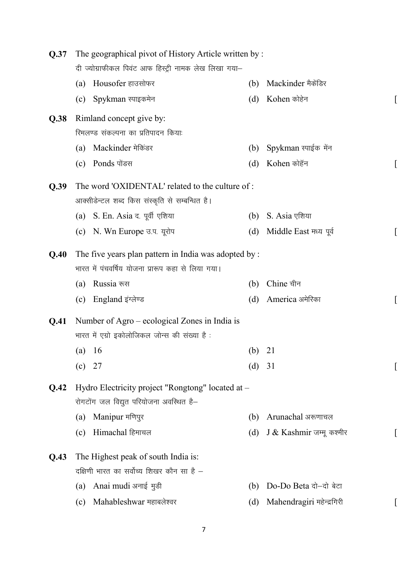| Q.37 | The geographical pivot of History Article written by: |                                                       |        |                           |  |  |
|------|-------------------------------------------------------|-------------------------------------------------------|--------|---------------------------|--|--|
|      |                                                       | दी ज्योग्राफीकल पिवंट आफ हिस्ट्री नामक लेख लिखा गया-  |        |                           |  |  |
|      | Housofer हाउसोफर<br>(a)                               |                                                       | (b)    | Mackinder मैकेंडिर        |  |  |
|      | Spykman स्पाइकमेन<br>(c)                              |                                                       | (d)    | Kohen कोहेन               |  |  |
| Q.38 | Rimland concept give by:                              |                                                       |        |                           |  |  |
|      | रिमलण्ड संकल्पना का प्रतिपादन कियाः                   |                                                       |        |                           |  |  |
|      | Mackinder मेकिंडर<br>(a)                              |                                                       | (b)    | Spykman स्पाईक मेंन       |  |  |
|      | Ponds पोंडस<br>(c)                                    |                                                       | (d)    | Kohen कोहॅन               |  |  |
| Q.39 |                                                       | The word 'OXIDENTAL' related to the culture of:       |        |                           |  |  |
|      |                                                       | आक्सीडेन्टल शब्द किस संस्कृति से सम्बन्धित है।        |        |                           |  |  |
|      | (a) S. En. Asia द. पूर्वी एशिया                       |                                                       | (b)    | S. Asia एशिया             |  |  |
|      | (c) N. Wn Europe उ.प. यूरोप                           |                                                       | (d)    | Middle East मध्य पूर्व    |  |  |
| Q.40 |                                                       | The five years plan pattern in India was adopted by : |        |                           |  |  |
|      |                                                       | भारत में पंचवर्षिय योजना प्रारूप कहा से लिया गया।     |        |                           |  |  |
|      | Russia रूस<br>(a)                                     |                                                       | (b)    | Chine चीन                 |  |  |
|      | England इंग्लेण्ड<br>(c)                              |                                                       | (d)    | America अमेरिका           |  |  |
| Q.41 |                                                       | Number of Agro – ecological Zones in India is         |        |                           |  |  |
|      |                                                       | भारत में एग्रो इकोलोजिकल जोन्स की संख्या है :         |        |                           |  |  |
|      | (a) $16$                                              |                                                       | (b) 21 |                           |  |  |
|      | 27<br>(c)                                             |                                                       | (d) 31 |                           |  |  |
| Q.42 |                                                       | Hydro Electricity project "Rongtong" located at -     |        |                           |  |  |
|      | रोगटोंग जल विद्युत परियोजना अवस्थित है-               |                                                       |        |                           |  |  |
|      | Manipur मणिपुर<br>(a)                                 |                                                       | (b)    | Arunachal अरूणाचल         |  |  |
|      | Himachal हिमाचल<br>(c)                                |                                                       | (d)    | J & Kashmir जम्मू कश्मीर  |  |  |
| Q.43 | The Highest peak of south India is:                   |                                                       |        |                           |  |  |
|      | दक्षिणी भारत का सर्वोच्य शिखर कौन सा है –             |                                                       |        |                           |  |  |
|      | Anai mudi अनाई मुडी<br>(a)                            |                                                       | (b)    | Do-Do Beta दो-दो बेटा     |  |  |
|      | Mahableshwar महाबलेश्वर<br>(c)                        |                                                       | (d)    | Mahendragiri महेन्द्रगिरी |  |  |
|      |                                                       |                                                       |        |                           |  |  |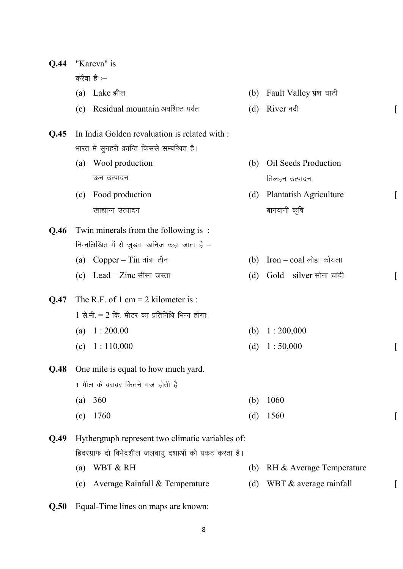| Q.44 | "Kareva" is |                                                      |     |                                  |  |
|------|-------------|------------------------------------------------------|-----|----------------------------------|--|
|      |             | करैवा है :-                                          |     |                                  |  |
|      |             | (a) Lake झील                                         |     | (b) Fault Valley भ्रंश घाटी      |  |
|      |             | (c) Residual mountain अवशिष्ट पर्वत                  | (d) | River नदी                        |  |
| Q.45 |             | In India Golden revaluation is related with :        |     |                                  |  |
|      |             | भारत में सुनहरी क्रान्ति किससे सम्बन्धित है।         |     |                                  |  |
|      | (a)         | Wool production                                      | (b) | <b>Oil Seeds Production</b>      |  |
|      |             | ऊन उत्पादन                                           |     | तिलहन उत्पादन                    |  |
|      | (c)         | Food production                                      | (d) | <b>Plantatish Agriculture</b>    |  |
|      |             | खाद्यान्न उत्पादन                                    |     | बागवानी कृषि                     |  |
| Q.46 |             | Twin minerals from the following is:                 |     |                                  |  |
|      |             | निम्नलिखित में से जुडवा खनिज कहा जाता है -           |     |                                  |  |
|      |             | (a) $Copper - Tin \pi i \pi \bar{c}$ नि              | (b) | $\;$ Iron – $\;$ coal लोहा कोयला |  |
|      |             | (c) Lead $-$ Zinc सीसा जस्ता                         | (d) | $Gold-silver$ सोना चांदी         |  |
| Q.47 |             | The R.F. of 1 cm = 2 kilometer is:                   |     |                                  |  |
|      |             | $1$ से.मी. = 2 कि. मीटर का प्रतिनिधि भिन्न होगाः     |     |                                  |  |
|      |             | (a) $1:200.00$                                       | (b) | 1:200,000                        |  |
|      | (c)         | 1:110,000                                            | (d) | 1:50,000                         |  |
| Q.48 |             | One mile is equal to how much yard.                  |     |                                  |  |
|      |             | 1 मील के बराबर कितने गज होती है                      |     |                                  |  |
|      | (a)         | 360                                                  | (b) | 1060                             |  |
|      | (c)         | 1760                                                 | (d) | 1560                             |  |
| Q.49 |             | Hythergraph represent two climatic variables of:     |     |                                  |  |
|      |             | हिदरग्राफ दो विभेदशील जलवायु दशाओं को प्रकट करता है। |     |                                  |  |
|      | (a)         | WBT & RH                                             | (b) | RH & Average Temperature         |  |
|      | (c)         | Average Rainfall & Temperature                       | (d) | WBT & average rainfall           |  |
|      |             |                                                      |     |                                  |  |

**Q.50** Equal-Time lines on maps are known: